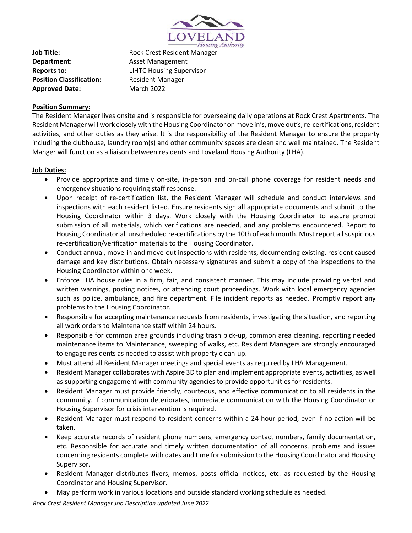

**Department:** Asset Management **Position Classification:** Resident Manager Approved Date: March 2022

**Job Title:** Rock Crest Resident Manager **Reports to:** LIHTC Housing Supervisor

# **Position Summary:**

The Resident Manager lives onsite and is responsible for overseeing daily operations at Rock Crest Apartments. The Resident Manager will work closely with the Housing Coordinator on move in's, move out's, re-certifications, resident activities, and other duties as they arise. It is the responsibility of the Resident Manager to ensure the property including the clubhouse, laundry room(s) and other community spaces are clean and well maintained. The Resident Manger will function as a liaison between residents and Loveland Housing Authority (LHA).

## **Job Duties:**

- Provide appropriate and timely on-site, in-person and on-call phone coverage for resident needs and emergency situations requiring staff response.
- Upon receipt of re-certification list, the Resident Manager will schedule and conduct interviews and inspections with each resident listed. Ensure residents sign all appropriate documents and submit to the Housing Coordinator within 3 days. Work closely with the Housing Coordinator to assure prompt submission of all materials, which verifications are needed, and any problems encountered. Report to Housing Coordinator all unscheduled re-certifications by the 10th of each month. Must report allsuspicious re-certification/verification materials to the Housing Coordinator.
- Conduct annual, move-in and move-out inspections with residents, documenting existing, resident caused damage and key distributions. Obtain necessary signatures and submit a copy of the inspections to the Housing Coordinator within one week.
- Enforce LHA house rules in a firm, fair, and consistent manner. This may include providing verbal and written warnings, posting notices, or attending court proceedings. Work with local emergency agencies such as police, ambulance, and fire department. File incident reports as needed. Promptly report any problems to the Housing Coordinator.
- Responsible for accepting maintenance requests from residents, investigating the situation, and reporting all work orders to Maintenance staff within 24 hours.
- Responsible for common area grounds including trash pick-up, common area cleaning, reporting needed maintenance items to Maintenance, sweeping of walks, etc. Resident Managers are strongly encouraged to engage residents as needed to assist with property clean-up.
- Must attend all Resident Manager meetings and special events as required by LHA Management.
- Resident Manager collaborates with Aspire 3D to plan and implement appropriate events, activities, as well as supporting engagement with community agencies to provide opportunities for residents.
- Resident Manager must provide friendly, courteous, and effective communication to all residents in the community. If communication deteriorates, immediate communication with the Housing Coordinator or Housing Supervisor for crisis intervention is required.
- Resident Manager must respond to resident concerns within a 24-hour period, even if no action will be taken.
- Keep accurate records of resident phone numbers, emergency contact numbers, family documentation, etc. Responsible for accurate and timely written documentation of all concerns, problems and issues concerning residents complete with dates and time for submission to the Housing Coordinator and Housing Supervisor.
- Resident Manager distributes flyers, memos, posts official notices, etc. as requested by the Housing Coordinator and Housing Supervisor.
- May perform work in various locations and outside standard working schedule as needed.

*Rock Crest Resident Manager Job Description updated June 2022*